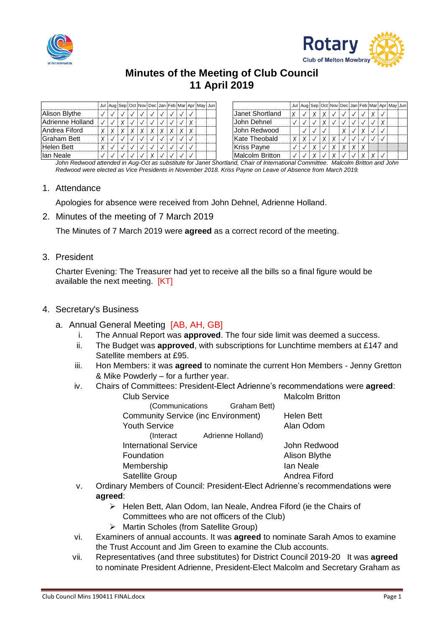



# **Minutes of the Meeting of Club Council 11 April 2019**

|                  |  |  | Jul Aug Sep Oct Nov Dec Jan Feb Mar Apr May Jun |  |  |  |                    |  |  |  |  |  | Jul Aug Sep Oct Nov Dec Jan Feb Mar Apr May Jun |  |
|------------------|--|--|-------------------------------------------------|--|--|--|--------------------|--|--|--|--|--|-------------------------------------------------|--|
| Alison Blythe    |  |  |                                                 |  |  |  | Uanet Shortland    |  |  |  |  |  |                                                 |  |
| Adrienne Holland |  |  |                                                 |  |  |  | John Dehnel        |  |  |  |  |  |                                                 |  |
| Andrea Fiford    |  |  |                                                 |  |  |  | John Redwood       |  |  |  |  |  |                                                 |  |
| Graham Bett      |  |  |                                                 |  |  |  | Kate Theobald      |  |  |  |  |  |                                                 |  |
| Helen Bett       |  |  |                                                 |  |  |  | <b>Kriss Payne</b> |  |  |  |  |  |                                                 |  |
| lan Neale        |  |  |                                                 |  |  |  | Malcolm Britton    |  |  |  |  |  |                                                 |  |

*John Redwood attended in Aug-Oct as substitute for Janet Shortland, Chair of International Committee. Malcolm Britton and John Redwood were elected as Vice Presidents in November 2018. Kriss Payne on Leave of Absence from March 2019.*

### 1. Attendance

Apologies for absence were received from John Dehnel, Adrienne Holland.

2. Minutes of the meeting of 7 March 2019

The Minutes of 7 March 2019 were **agreed** as a correct record of the meeting.

3. President

Charter Evening: The Treasurer had yet to receive all the bills so a final figure would be available the next meeting. [KT]

# 4. Secretary's Business

- a. Annual General Meeting [AB, AH, GB]
	- i. The Annual Report was **approved**. The four side limit was deemed a success.
	- ii. The Budget was **approved**, with subscriptions for Lunchtime members at £147 and Satellite members at £95.
	- iii. Hon Members: it was **agreed** to nominate the current Hon Members Jenny Gretton & Mike Powderly – for a further year.
	- iv. Chairs of Committees: President-Elect Adrienne's recommendations were **agreed**:

| <b>Club Service</b>                        | <b>Malcolm Britton</b> |
|--------------------------------------------|------------------------|
| (Communications Graham Bett)               |                        |
| <b>Community Service (inc Environment)</b> | <b>Helen Bett</b>      |
| <b>Youth Service</b>                       | Alan Odom              |
| Adrienne Holland)<br>(Interact             |                        |
| <b>International Service</b>               | John Redwood           |
| Foundation                                 | Alison Blythe          |
| Membership                                 | lan Neale              |
| Satellite Group                            | Andrea Fiford          |

- v. Ordinary Members of Council: President-Elect Adrienne's recommendations were **agreed**:
	- $\triangleright$  Helen Bett, Alan Odom, Ian Neale, Andrea Fiford (ie the Chairs of Committees who are not officers of the Club)
	- Martin Scholes (from Satellite Group)
- vi. Examiners of annual accounts. It was **agreed** to nominate Sarah Amos to examine the Trust Account and Jim Green to examine the Club accounts.
- vii. Representatives (and three substitutes) for District Council 2019-20 It was **agreed** to nominate President Adrienne, President-Elect Malcolm and Secretary Graham as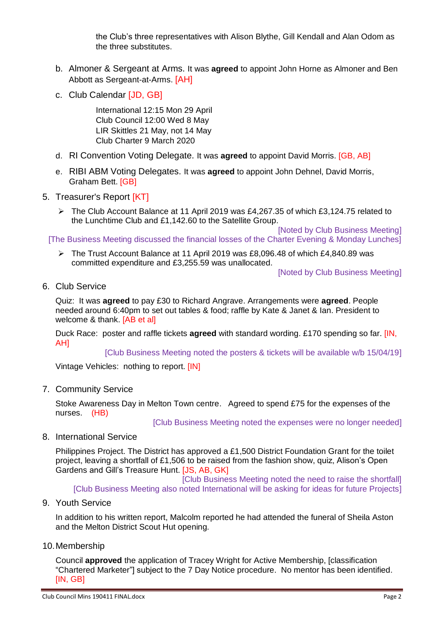the Club's three representatives with Alison Blythe, Gill Kendall and Alan Odom as the three substitutes.

- b. Almoner & Sergeant at Arms. It was **agreed** to appoint John Horne as Almoner and Ben Abbott as Sergeant-at-Arms. [AH]
- c. Club Calendar [JD, GB]

International 12:15 Mon 29 April Club Council 12:00 Wed 8 May LIR Skittles 21 May, not 14 May Club Charter 9 March 2020

- d. RI Convention Voting Delegate. It was **agreed** to appoint David Morris. [GB, AB]
- e. RIBI ABM Voting Delegates. It was **agreed** to appoint John Dehnel, David Morris, Graham Bett. [GB]

# 5. Treasurer's Report [KT]

The Club Account Balance at 11 April 2019 was £4,267.35 of which £3,124.75 related to the Lunchtime Club and £1,142.60 to the Satellite Group.

[Noted by Club Business Meeting] [The Business Meeting discussed the financial losses of the Charter Evening & Monday Lunches]

 The Trust Account Balance at 11 April 2019 was £8,096.48 of which £4,840.89 was committed expenditure and £3,255.59 was unallocated.

[Noted by Club Business Meeting]

6. Club Service

Quiz: It was **agreed** to pay £30 to Richard Angrave. Arrangements were **agreed**. People needed around 6:40pm to set out tables & food; raffle by Kate & Janet & Ian. President to welcome & thank. [AB et al]

Duck Race: poster and raffle tickets **agreed** with standard wording. £170 spending so far. [IN, AH]

[Club Business Meeting noted the posters & tickets will be available w/b 15/04/19]

Vintage Vehicles: nothing to report. [IN]

7. Community Service

Stoke Awareness Day in Melton Town centre. Agreed to spend £75 for the expenses of the nurses. (HB)

[Club Business Meeting noted the expenses were no longer needed]

8. International Service

Philippines Project. The District has approved a £1,500 District Foundation Grant for the toilet project, leaving a shortfall of £1,506 to be raised from the fashion show, quiz, Alison's Open Gardens and Gill's Treasure Hunt. [JS, AB, GK]

[Club Business Meeting noted the need to raise the shortfall] [Club Business Meeting also noted International will be asking for ideas for future Projects]

9. Youth Service

In addition to his written report, Malcolm reported he had attended the funeral of Sheila Aston and the Melton District Scout Hut opening.

### 10.Membership

Council **approved** the application of Tracey Wright for Active Membership, [classification "Chartered Marketer"] subject to the 7 Day Notice procedure. No mentor has been identified. [IN, GB]